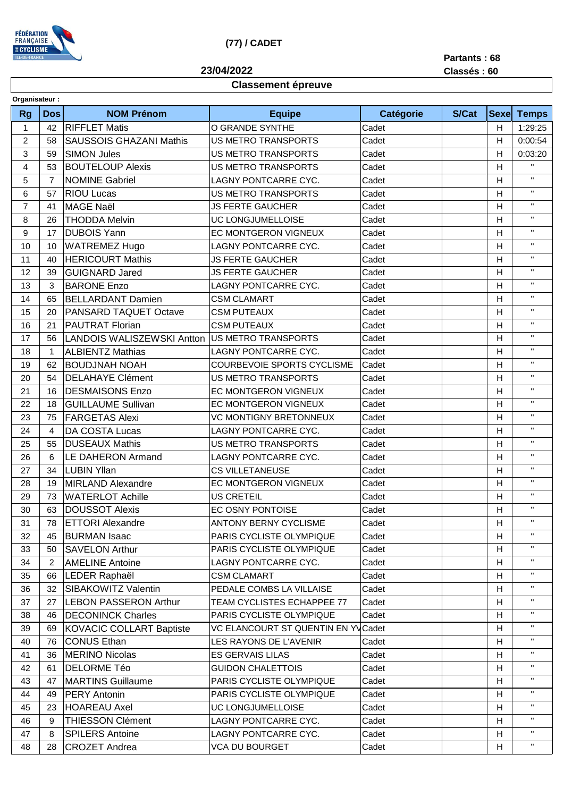

## **(77) / CADET**

**23/04/2022**

**Partants : 68**

**Classés : 60**

## **Classement épreuve**

| Organisateur:  |            |                                   |                                     |           |       |                |                |
|----------------|------------|-----------------------------------|-------------------------------------|-----------|-------|----------------|----------------|
| <b>Rg</b>      | <b>Dos</b> | <b>NOM Prénom</b>                 | <b>Equipe</b>                       | Catégorie | S/Cat | <b>Sexe</b>    | <b>Temps</b>   |
| $\mathbf 1$    | 42         | <b>RIFFLET Matis</b>              | O GRANDE SYNTHE                     | Cadet     |       | H              | 1:29:25        |
| $\overline{c}$ | 58         | <b>SAUSSOIS GHAZANI Mathis</b>    | <b>US METRO TRANSPORTS</b>          | Cadet     |       | H              | 0:00:54        |
| 3              | 59         | <b>SIMON Jules</b>                | <b>US METRO TRANSPORTS</b>          | Cadet     |       | Н              | 0:03:20        |
| 4              | 53         | <b>BOUTELOUP Alexis</b>           | <b>US METRO TRANSPORTS</b>          | Cadet     |       | Н              | $\mathbf{H}$   |
| 5              | 7          | <b>NOMINE Gabriel</b>             | LAGNY PONTCARRE CYC.                | Cadet     |       | H              | $\mathbf{H}$   |
| 6              | 57         | <b>RIOU Lucas</b>                 | <b>US METRO TRANSPORTS</b>          | Cadet     |       | н              | $\mathbf{H}$   |
| $\overline{7}$ | 41         | <b>MAGE Naël</b>                  | <b>JS FERTE GAUCHER</b>             | Cadet     |       | H              | $\mathbf{H}$   |
| 8              | 26         | <b>THODDA Melvin</b>              | UC LONGJUMELLOISE                   | Cadet     |       | $\overline{H}$ | $\mathbf{H}$   |
| 9              | 17         | <b>DUBOIS Yann</b>                | EC MONTGERON VIGNEUX                | Cadet     |       | н              | $\mathbf{H}$   |
| 10             | 10         | <b>WATREMEZ Hugo</b>              | LAGNY PONTCARRE CYC.                | Cadet     |       | H              | $\mathbf{H}$   |
| 11             | 40         | <b>HERICOURT Mathis</b>           | <b>JS FERTE GAUCHER</b>             | Cadet     |       | H              | $\mathbf{H}$   |
| 12             | 39         | <b>GUIGNARD Jared</b>             | <b>JS FERTE GAUCHER</b>             | Cadet     |       | н              | $\mathbf{H}$   |
| 13             | 3          | <b>BARONE Enzo</b>                | LAGNY PONTCARRE CYC.                | Cadet     |       | H              | $\mathbf{H}$   |
| 14             | 65         | <b>BELLARDANT Damien</b>          | <b>CSM CLAMART</b>                  | Cadet     |       | H              | $\mathbf{H}$   |
| 15             | 20         | <b>PANSARD TAQUET Octave</b>      | <b>CSM PUTEAUX</b>                  | Cadet     |       | H              | $\mathbf H$    |
| 16             | 21         | <b>PAUTRAT Florian</b>            | <b>CSM PUTEAUX</b>                  | Cadet     |       | H              | $\mathbf{H}$   |
| 17             | 56         | <b>LANDOIS WALISZEWSKI Antton</b> | US METRO TRANSPORTS                 | Cadet     |       | H              | $\mathbf{H}$   |
| 18             | 1          | <b>ALBIENTZ Mathias</b>           | LAGNY PONTCARRE CYC.                | Cadet     |       | Н              | $\mathbf{H}$   |
| 19             | 62         | <b>BOUDJNAH NOAH</b>              | <b>COURBEVOIE SPORTS CYCLISME</b>   | Cadet     |       | $\overline{H}$ | $\mathbf{H}$   |
| 20             | 54         | <b>DELAHAYE Clément</b>           | <b>US METRO TRANSPORTS</b>          | Cadet     |       | H              | $\mathbf{H}$   |
| 21             | 16         | <b>DESMAISONS Enzo</b>            | EC MONTGERON VIGNEUX                | Cadet     |       | H              | $\mathbf{H}$   |
| 22             | 18         | <b>GUILLAUME Sullivan</b>         | EC MONTGERON VIGNEUX                | Cadet     |       | Η              | $\mathbf{H}$   |
| 23             | 75         | <b>FARGETAS Alexi</b>             | <b>VC MONTIGNY BRETONNEUX</b>       | Cadet     |       | н              | $\mathbf{H}$   |
| 24             | 4          | DA COSTA Lucas                    | LAGNY PONTCARRE CYC.                | Cadet     |       | H              | $\mathbf{H}$   |
| 25             | 55         | <b>DUSEAUX Mathis</b>             | <b>US METRO TRANSPORTS</b>          | Cadet     |       | $\overline{H}$ | $\mathbf{H}$   |
| 26             | 6          | <b>LE DAHERON Armand</b>          | LAGNY PONTCARRE CYC.                | Cadet     |       | н              | $\mathbf{H}$ . |
| 27             | 34         | <b>LUBIN Yllan</b>                | <b>CS VILLETANEUSE</b>              | Cadet     |       | H              | $\mathbf{H}$   |
| 28             | 19         | <b>MIRLAND Alexandre</b>          | EC MONTGERON VIGNEUX                | Cadet     |       | Η              | $\mathbf{H}$   |
| 29             | 73         | <b>WATERLOT Achille</b>           | <b>US CRETEIL</b>                   | Cadet     |       | H              | $\mathbf{H}$ . |
| 30             | 63         | <b>DOUSSOT Alexis</b>             | EC OSNY PONTOISE                    | Cadet     |       | H              | $\mathbf{H}$   |
| 31             | 78         | <b>ETTORI</b> Alexandre           | <b>ANTONY BERNY CYCLISME</b>        | Cadet     |       | H              | $\mathbf{H}$   |
| 32             | 45         | <b>BURMAN Isaac</b>               | PARIS CYCLISTE OLYMPIQUE            | Cadet     |       | н              | $\mathbf{H}$   |
| 33             | 50         | <b>SAVELON Arthur</b>             | PARIS CYCLISTE OLYMPIQUE            | Cadet     |       | H              | $\mathbf{H}$   |
| 34             | 2          | <b>AMELINE Antoine</b>            | LAGNY PONTCARRE CYC.                | Cadet     |       | H              | п.             |
| 35             | 66         | LEDER Raphaël                     | <b>CSM CLAMART</b>                  | Cadet     |       | H              | $\mathbf{H}$   |
| 36             | 32         | SIBAKOWITZ Valentin               | PEDALE COMBS LA VILLAISE            | Cadet     |       | H              | $\mathbf{H}$   |
| 37             | 27         | <b>LEBON PASSERON Arthur</b>      | TEAM CYCLISTES ECHAPPEE 77          | Cadet     |       | H              | п.             |
| 38             | 46         | <b>DECONINCK Charles</b>          | PARIS CYCLISTE OLYMPIQUE            | Cadet     |       | H              | п.             |
| 39             | 69         | <b>KOVACIC COLLART Baptiste</b>   | VC ELANCOURT ST QUENTIN EN YV Cadet |           |       | H              | $\mathbf{H}$   |
| 40             | 76         | <b>CONUS Ethan</b>                | <b>LES RAYONS DE L'AVENIR</b>       | Cadet     |       | H              | $\mathbf{H}$   |
| 41             | 36         | MERINO Nicolas                    | <b>ES GERVAIS LILAS</b>             | Cadet     |       | H              | п.             |
| 42             | 61         | <b>DELORME Téo</b>                | <b>GUIDON CHALETTOIS</b>            | Cadet     |       | H              | $\mathbf{H}$   |
| 43             | 47         | <b>MARTINS Guillaume</b>          | PARIS CYCLISTE OLYMPIQUE            | Cadet     |       | н              | $\mathbf{H}$   |
| 44             | 49         | <b>PERY Antonin</b>               | PARIS CYCLISTE OLYMPIQUE            | Cadet     |       | H              | $\mathbf{H}$   |
| 45             | 23         | <b>HOAREAU Axel</b>               | UC LONGJUMELLOISE                   | Cadet     |       | H              | $\mathbf{H}$   |
| 46             | 9          | <b>THIESSON Clément</b>           | LAGNY PONTCARRE CYC.                | Cadet     |       | н              | $\mathbf{H}$   |
| 47             | 8          | <b>SPILERS Antoine</b>            | LAGNY PONTCARRE CYC.                | Cadet     |       | H              | п.             |
| 48             | 28         | <b>CROZET Andrea</b>              | <b>VCA DU BOURGET</b>               | Cadet     |       | H              | $\mathbf{H}$   |